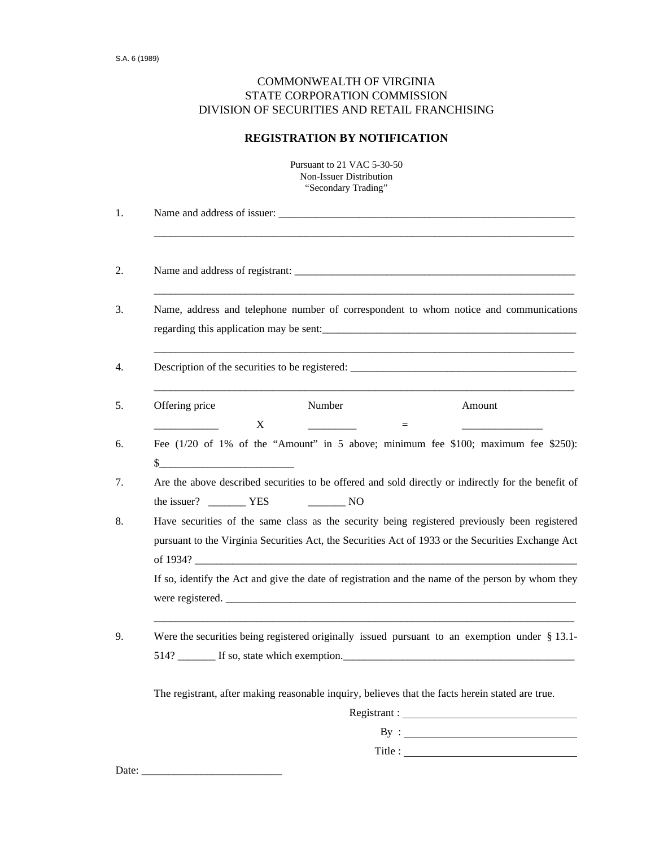## COMMONWEALTH OF VIRGINIA STATE CORPORATION COMMISSION DIVISION OF SECURITIES AND RETAIL FRANCHISING

## **REGISTRATION BY NOTIFICATION**

|                                                                                                                                                                                                                                                                                                                                                                                                         |   | Pursuant to 21 VAC 5-30-50<br>Non-Issuer Distribution<br>"Secondary Trading" |                                                                                                                                                                                                     |
|---------------------------------------------------------------------------------------------------------------------------------------------------------------------------------------------------------------------------------------------------------------------------------------------------------------------------------------------------------------------------------------------------------|---|------------------------------------------------------------------------------|-----------------------------------------------------------------------------------------------------------------------------------------------------------------------------------------------------|
|                                                                                                                                                                                                                                                                                                                                                                                                         |   |                                                                              |                                                                                                                                                                                                     |
|                                                                                                                                                                                                                                                                                                                                                                                                         |   |                                                                              |                                                                                                                                                                                                     |
|                                                                                                                                                                                                                                                                                                                                                                                                         |   |                                                                              | Name, address and telephone number of correspondent to whom notice and communications<br>regarding this application may be sent:                                                                    |
|                                                                                                                                                                                                                                                                                                                                                                                                         |   |                                                                              | Description of the securities to be registered: _________________________________                                                                                                                   |
| Offering price                                                                                                                                                                                                                                                                                                                                                                                          |   | Number                                                                       | Amount                                                                                                                                                                                              |
| $\frac{\frac{1}{2} + \frac{1}{2} + \frac{1}{2} + \frac{1}{2} + \frac{1}{2} + \frac{1}{2} + \frac{1}{2} + \frac{1}{2} + \frac{1}{2} + \frac{1}{2} + \frac{1}{2} + \frac{1}{2} + \frac{1}{2} + \frac{1}{2} + \frac{1}{2} + \frac{1}{2} + \frac{1}{2} + \frac{1}{2} + \frac{1}{2} + \frac{1}{2} + \frac{1}{2} + \frac{1}{2} + \frac{1}{2} + \frac{1}{2} + \frac{1}{2} + \frac{1}{2} + \frac{1}{2} + \frac$ | X |                                                                              | Fee $(1/20)$ of 1% of the "Amount" in 5 above; minimum fee \$100; maximum fee \$250):                                                                                                               |
|                                                                                                                                                                                                                                                                                                                                                                                                         |   |                                                                              | Are the above described securities to be offered and sold directly or indirectly for the benefit of                                                                                                 |
|                                                                                                                                                                                                                                                                                                                                                                                                         |   |                                                                              | Have securities of the same class as the security being registered previously been registered<br>pursuant to the Virginia Securities Act, the Securities Act of 1933 or the Securities Exchange Act |
|                                                                                                                                                                                                                                                                                                                                                                                                         |   |                                                                              | If so, identify the Act and give the date of registration and the name of the person by whom they                                                                                                   |
|                                                                                                                                                                                                                                                                                                                                                                                                         |   |                                                                              | Were the securities being registered originally issued pursuant to an exemption under $\S$ 13.1-                                                                                                    |
|                                                                                                                                                                                                                                                                                                                                                                                                         |   |                                                                              | The registrant, after making reasonable inquiry, believes that the facts herein stated are true.                                                                                                    |
|                                                                                                                                                                                                                                                                                                                                                                                                         |   |                                                                              |                                                                                                                                                                                                     |
|                                                                                                                                                                                                                                                                                                                                                                                                         |   |                                                                              |                                                                                                                                                                                                     |
|                                                                                                                                                                                                                                                                                                                                                                                                         |   |                                                                              |                                                                                                                                                                                                     |

Date: \_\_\_\_\_\_\_\_\_\_\_\_\_\_\_\_\_\_\_\_\_\_\_\_\_\_